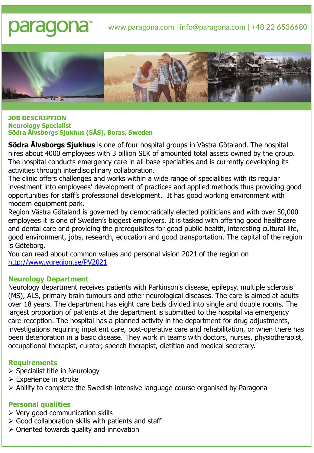# paraqona<sup>®</sup> www.paragona.com | info@paragona.com | +48 22 6536680



#### **JOB DESCRIPTION Neurology Specialist Södra Älvsborgs Sjukhus (SÄS), Boras, Sweden**

**Södra Älvsborgs Sjukhus** is one of four hospital groups in Västra Götaland. The hospital hires about 4000 employees with 3 billion SEK of amounted total assets owned by the group. The hospital conducts emergency care in all base specialties and is currently developing its activities through interdisciplinary collaboration.

The clinic offers challenges and works within a wide range of specialities with its regular investment into employees' development of practices and applied methods thus providing good opportunities for staff's professional development. It has good working environment with modern equipment park.

Region Västra Götaland is governed by democratically elected politicians and with over 50,000 employees it is one of Sweden's biggest employers. It is tasked with offering good healthcare and dental care and providing the prerequisites for good public health, interesting cultural life, good environment, jobs, research, education and good transportation. The capital of the region is Göteborg.

You can read about common values and personal vision 2021 of the region on <http://www.vgregion.se/PV2021>

## **Neurology Department**

Neurology department receives patients with Parkinson's disease, epilepsy, multiple sclerosis (MS), ALS, primary brain tumours and other neurological diseases. The care is aimed at adults over 18 years. The department has eight care beds divided into single and double rooms. The largest proportion of patients at the department is submitted to the hospital via emergency care reception. The hospital has a planned activity in the department for drug adjustments, investigations requiring inpatient care, post-operative care and rehabilitation, or when there has been deterioration in a basic disease. They work in teams with doctors, nurses, physiotherapist, occupational therapist, curator, speech therapist, dietitian and medical secretary.

## **Requirements**

- ➢ Specialist title in Neurology
- ➢ Experience in stroke
- ➢ Ability to complete the Swedish intensive language course organised by Paragona

## **Personal qualities**

- $\triangleright$  Very good communication skills
- $\triangleright$  Good collaboration skills with patients and staff
- ➢ Oriented towards quality and innovation